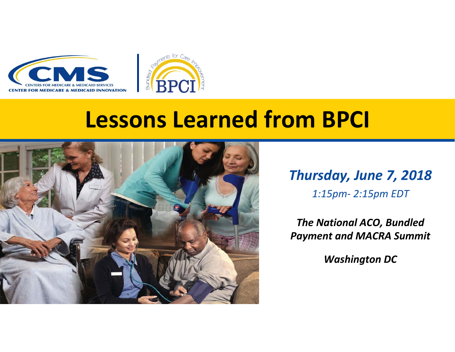



## **Lessons Learned from BPCI**



*Thursday, June 7, 2018 1:15pm‐ 2:15pm EDT*

*The National ACO, Bundled Payment and MACRA Summit*

*Washington DC*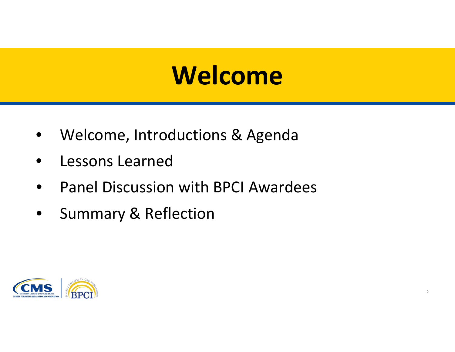# **Welcome Welcome**

- Welcome, Introductions & Agenda
- Lessons Learned
- Panel Discussion with BPCI Awardees
- Summary & Reflection

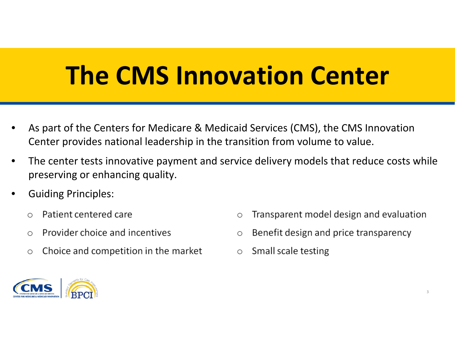# **The CMS Innovation Center**

- As part of the Centers for Medicare & Medicaid Services (CMS), the CMS Innovation Center provides national leadership in the transition from volume to value.
- The center tests innovative payment and service delivery models that reduce costs while preserving or enhancing quality.
- Guiding Principles:
	- Patient centered care  $\circ$
	- Provider choice and incentives  $\bigcirc$
	- Choice and competition in the market  $\bigcirc$
- Transparent model design and evaluation  $\circ$
- Benefit design and price transparency  $\bigcirc$
- Small scale testing  $\bigcirc$

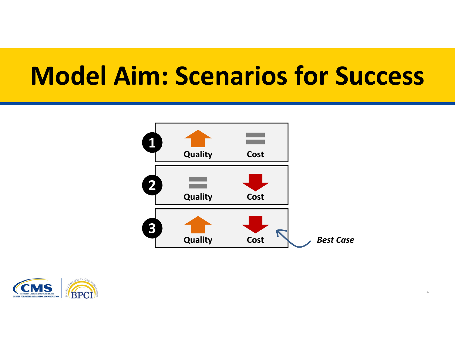# **Model Aim: Scenarios for Success**



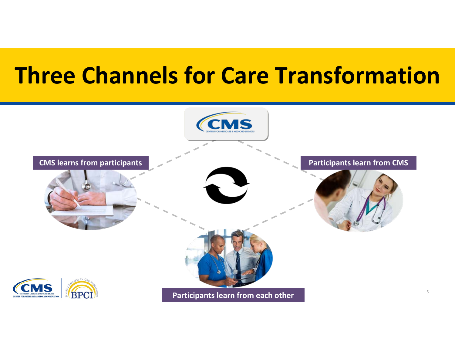## **Three Channels for Care Transformation**

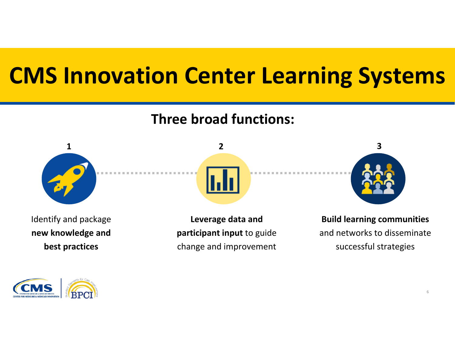# **CMS CMS Innovation Innovation Center Center Learning Learning Systems Systems**

#### **Three broad functions:**







Identify and package **new knowledge and best practices**

**Leverage data and participant input** to guide change and improvement

**Build learning communities** and networks to disseminate successful strategies

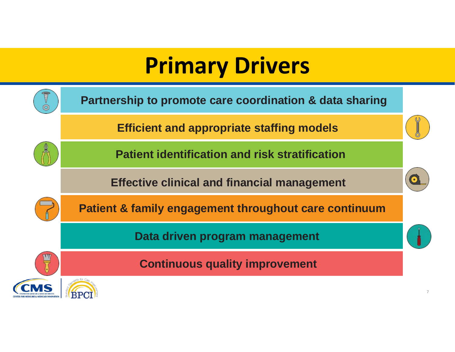## **Primary Drivers**

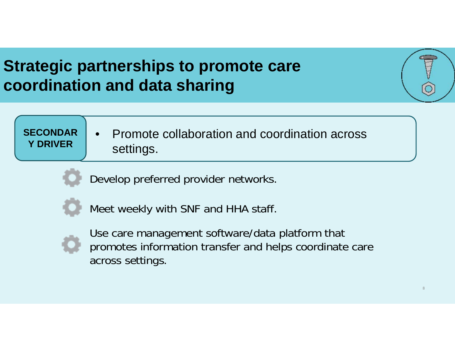### **Strategic partnerships to promote care coordination and data sharing**

#### **SECONDAR Y DRIVER**• Promote collaboration and coordination across settings.

Develop preferred provider networks.



Meet weekly with SNF and HHA staff.



Use care management software/data platform that promotes information transfer and helps coordinate care across settings.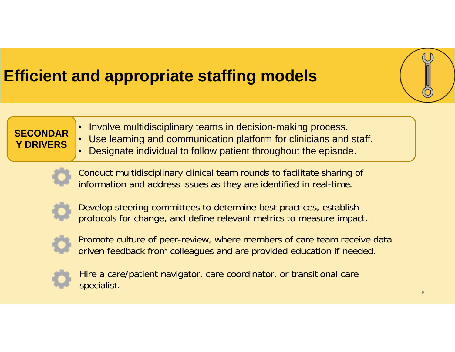### **Efficient and appropriate staffing models**

#### **SECONDAR Y DRIVERS**

- Involve multidisciplinary teams in decision-making process.
- Use learning and communication platform for clinicians and staff.
- Designate individual to follow patient throughout the episode.



Conduct multidisciplinary clinical team rounds to facilitate sharing of information and address issues as they are identified in real-time.



Develop steering committees to determine best practices, establish protocols for change, and define relevant metrics to measure impact.



Promote culture of peer-review, where members of care team receive data driven feedback from colleagues and are provided education if needed.



Hire a care/patient navigator, care coordinator, or transitional care specialist.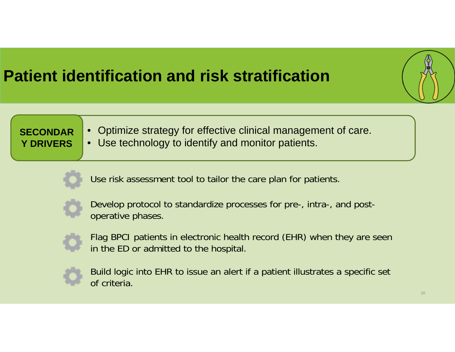### **Patient identification and risk stratification**



#### **SECONDAR Y DRIVERS**

- Optimize strategy for effective clinical management of care.
- Use technology to identify and monitor patients.



Use risk assessment tool to tailor the care plan for patients.



Develop protocol to standardize processes for pre-, intra-, and postoperative phases.



Flag BPCI patients in electronic health record (EHR) when they are seen in the ED or admitted to the hospital.



Build logic into EHR to issue an alert if a patient illustrates a specific set of criteria.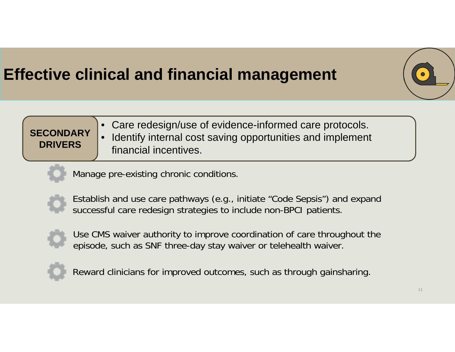### **Effective clinical and financial management**



**SECONDARY DRIVERS**• Care redesign/use of evidence-informed care protocols. • Identify internal cost saving opportunities and implement financial incentives.

Manage pre-existing chronic conditions.



Establish and use care pathways (e.g., initiate "Code Sepsis") and expand successful care redesign strategies to include non-BPCI patients.



Use CMS waiver authority to improve coordination of care throughout the episode, such as SNF three-day stay waiver or telehealth waiver.



Reward clinicians for improved outcomes, such as through gainsharing.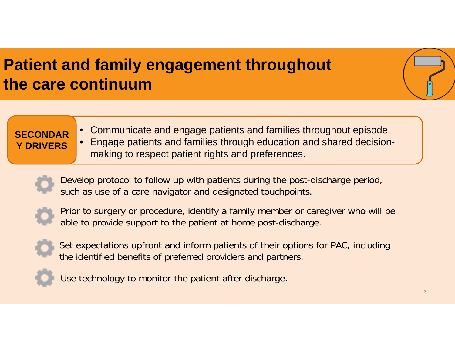### **Patient and family engagement throughout the care continuum**

#### **SECONDAR Y DRIVERS**

• Communicate and engage patients and families throughout episode. • Engage patients and families through education and shared decision-

making to respect patient rights and preferences.





Prior to surgery or procedure, identify a family member or caregiver who will be able to provide support to the patient at home post-discharge.



Set expectations upfront and inform patients of their options for PAC, including the identified benefits of preferred providers and partners.



Use technology to monitor the patient after discharge.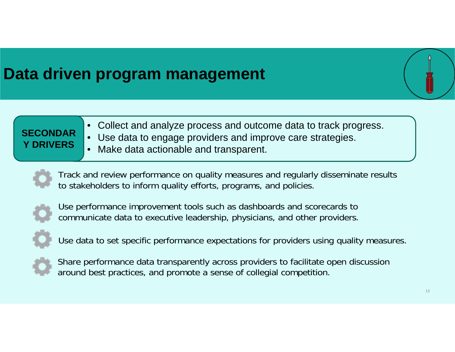### **Data driven program management**

#### **SECONDAR Y DRIVERS**• Collect and analyze process and outcome data to track progress. Use data to engage providers and improve care strategies.

Make data actionable and transparent.



Track and review performance on quality measures and regularly disseminate results to stakeholders to inform quality efforts, programs, and policies.



Use performance improvement tools such as dashboards and scorecards to communicate data to executive leadership, physicians, and other providers.



Use data to set specific performance expectations for providers using quality measures.



Share performance data transparently across providers to facilitate open discussion around best practices, and promote a sense of collegial competition.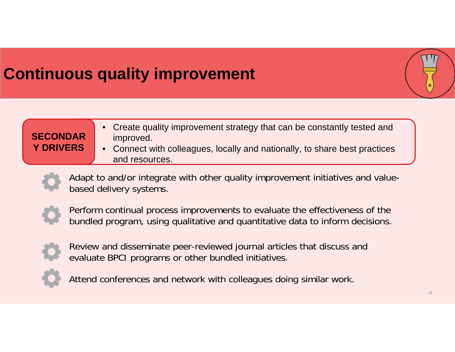### **Continuous quality improvement**



| <b>Y DRIVERS</b><br>• Connect with colleagues, locally and nationally, to share best practices<br>and resources. |
|------------------------------------------------------------------------------------------------------------------|
|                                                                                                                  |

Adapt to and/or integrate with other quality improvement initiatives and valuebased delivery systems.



Perform continual process improvements to evaluate the effectiveness of the bundled program, using qualitative and quantitative data to inform decisions.



Review and disseminate peer-reviewed journal articles that discuss and evaluate BPCI programs or other bundled initiatives.



Attend conferences and network with colleagues doing similar work.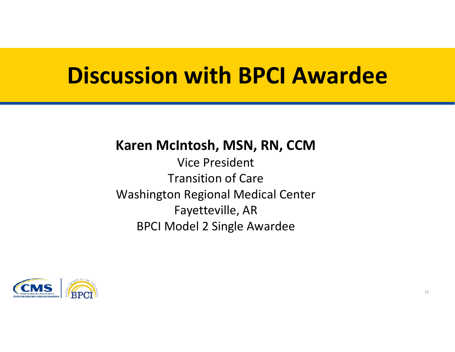## **Discussion Discussion with with BPCI BPCI Awardee Awardee**

#### **Karen McIntosh, MSN, RN, CCM**

Vice President Transition of Care Washington Regional Medical Center Fayetteville, AR BPCI Model 2 Single Awardee